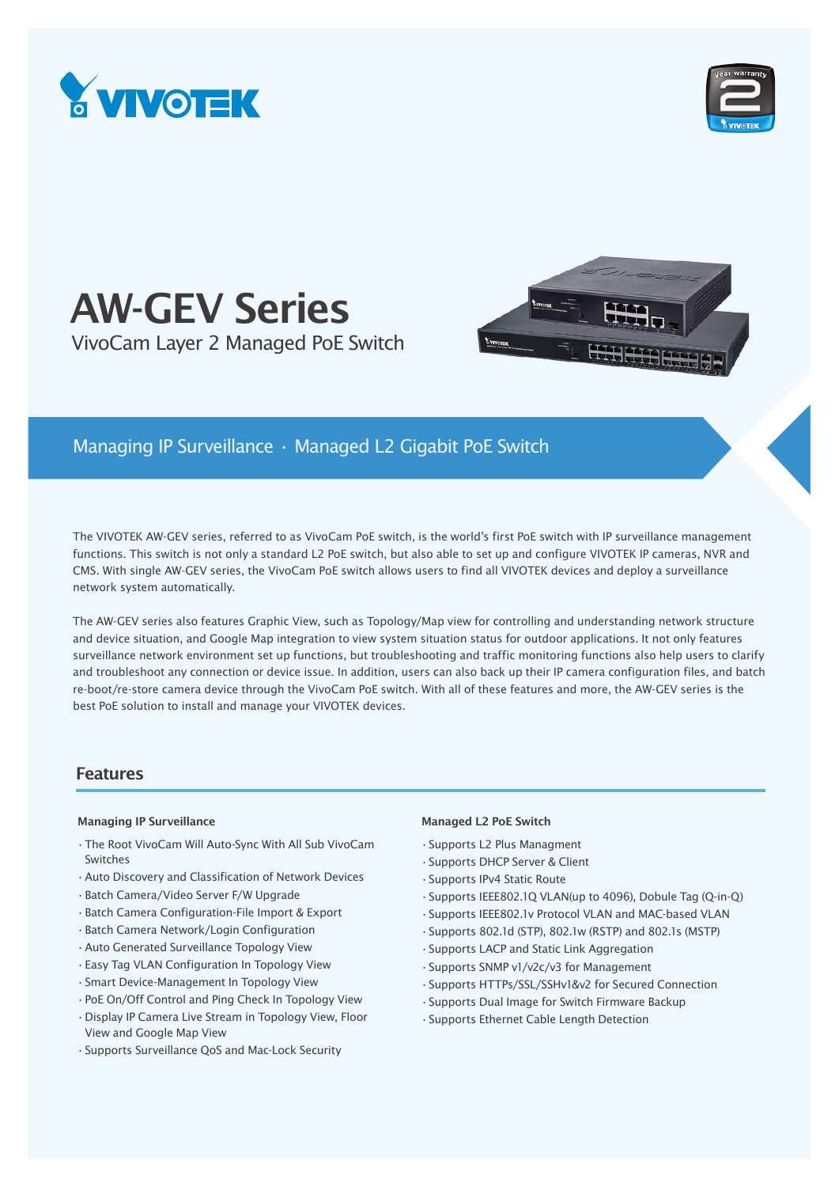



# AW-GEV Series VivoCam Layer 2 Managed PoE Switch



# Managing IP Surveillance • Managed L2 Gigabit PoE Switch

The VIVOTEK AW-GEV series, referred to as VivoCam PoE switch, is the world's first PoE switch with IP surveillance management functions. This switch is not only a standard L2 PoE switch, but also able to set up and configure VIVOTEK IP cameras, NVR and CMS. With single AW-GEV series, the VivoCam PoE switch allows users to find all VIVOTEK devices and deploy a surveillance network system automatically.

The AW-GEV series also features Graphic View, such as Topology/Map view for controlling and understanding network structure and device situation, and Google Map integration to view system situation status for outdoor applications. It not only features surveillance network environment set up functions, but troubleshooting and traffic monitoring functions also help users to clarify and troubleshoot any connection or device issue. In addition, users can also back up their IP camera configuration files, and batch re-boot/re-store camera device through the VivoCam PoE switch. With all of these features and more, the AW-GEV series is the best PoE solution to install and manage your VIVOTEK devices.

# Features

### Managing IP Surveillance **Managed L2 PoE Switch** Managed L2 PoE Switch

- •The Root VivoCam Will Auto-Sync With All Sub VivoCam Switches
- •Auto Discovery and Classification of Network Devices
- •Batch Camera/Video Server F/W Upgrade
- •Batch Camera Configuration-File Import & Export
- •Batch Camera Network/Login Configuration
- •Auto Generated Surveillance Topology View
- •Easy Tag VLAN Configuration In Topology View
- •Smart Device-Management In Topology View
- •PoE On/Off Control and Ping Check In Topology View
- •Display IP Camera Live Stream in Topology View, Floor View and Google Map View
- •Supports Surveillance QoS and Mac-Lock Security

- •Supports L2 Plus Managment
- •Supports DHCP Server & Client
- •Supports IPv4 Static Route
- •Supports IEEE802.1Q VLAN(up to 4096), Dobule Tag (Q-in-Q)
- •Supports IEEE802.1v Protocol VLAN and MAC-based VLAN
- •Supports 802.1d (STP), 802.1w (RSTP) and 802.1s (MSTP)
- •Supports LACP and Static Link Aggregation
- •Supports SNMP v1/v2c/v3 for Management
- •Supports HTTPs/SSL/SSHv1&v2 for Secured Connection
- •Supports Dual Image for Switch Firmware Backup
- •Supports Ethernet Cable Length Detection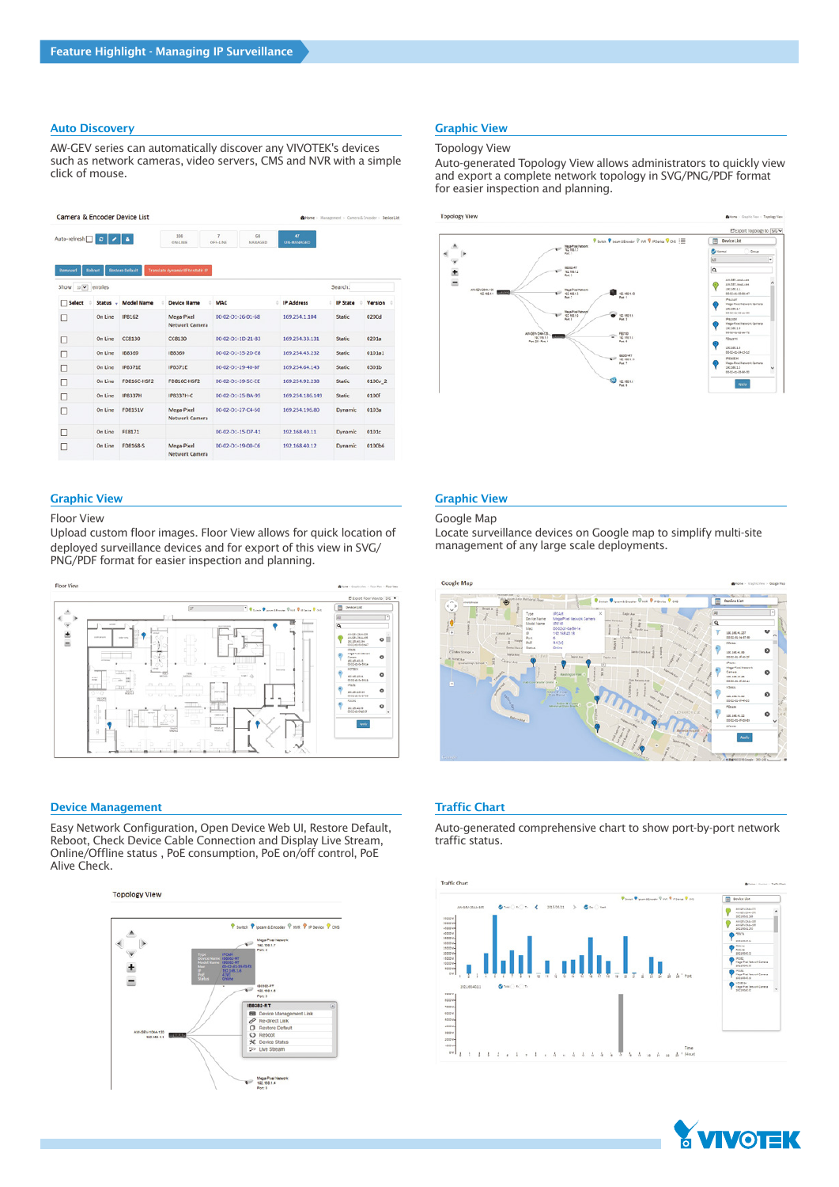### **Auto Discovery Graphic View Graphic View Graphic View Graphic View Graphic View Graphic View Graphic View Graphic View Graphic View Graphic View Graphic View Graphic View Graphic View Graphic View Graphic View Graphic Vie**

AW-GEV series can automatically discover any VIVOTEK's devices such as network cameras, video servers, CMS and NVR with a simple click of mouse.

| Camera & Encoder Device List |               |                        |                                   |                                                    |                         | Nome > Management > Camera & Encoder > Device List |         |
|------------------------------|---------------|------------------------|-----------------------------------|----------------------------------------------------|-------------------------|----------------------------------------------------|---------|
| Auto-refresh                 | $\circ\cdot$  | - 14                   | 108<br>ON-LINE                    | $\overline{t}$<br>GB<br>OFF-LINE<br><b>MANAGED</b> | 47<br><b>UN-MANAGED</b> |                                                    |         |
| Removed                      | Reboot        | <b>Restore Default</b> | Translate dynamic IP to static IP |                                                    |                         |                                                    |         |
| Show 10 v entries            |               |                        |                                   |                                                    |                         | Search:                                            |         |
| Select                       | <b>Status</b> | <b>Model Name</b>      | <b>Device Name</b>                | MAC                                                | IP Address              | <b>IP State</b>                                    | Version |
| ш                            | On Line       | <b>IP8162</b>          | Mega-Pixel<br>Network Camera      | 00-02-01-26-01-68                                  | 169.254.1.104           | <b>Static</b>                                      | 0200d   |
|                              | On Line       | <b>CC8130</b>          | <b>CC8130</b>                     | 00-02-D1-1D-21-83                                  | 169.254.33.131          | <b>Static</b>                                      | 0201a   |
|                              | On Line       | <b>IB8369</b>          | 188369                            | 00-02-D1-35-2D-E8                                  | 169.254.45.232          | Static                                             | 0101a1  |
|                              | On Line       | <b>IP8371E</b>         | <b>IP8371E</b>                    | 00-02-D1-29-40-8F                                  | 169.254.64.143          | <b>Static</b>                                      | 0301b   |
|                              | On Line       | FDR16C-HSF2            | <b>FD816C-HSF2</b>                | 00-02-D1-39-SC-EE                                  | 169.254.92.238          | Static                                             | 0100v_2 |
|                              | On Line       | <b>IP8337H</b>         | IP8337H-C                         | 00-02-01-25-BA-95                                  | 169.254.185.149         | <b>Static</b>                                      | 0100f   |
| п                            | On Line       | <b>FD8151V</b>         | Mega-Pixel<br>Network Camera      | 00-02-01-27-C4-50                                  | 169.254.195.80          | Dynamic                                            | 0103a   |
|                              | On Line       | <b>FE8171</b>          |                                   | 00-02-01-15-D7-41                                  | 192.168.40.11           | Dynamic                                            | 0101c   |
|                              | On Line       | <b>FD8168-S</b>        | Mega-Pixel<br>Network Camera      | 00-02-01-19-00-C6                                  | 192.168.40.12           | <b>Dynamic</b>                                     | 0100b6  |

### Graphic View Graphic View

#### Floor View

Upload custom floor images. Floor View allows for quick location of deployed surveillance devices and for export of this view in SVG/ PNG/PDF format for easier inspection and planning.



### **Device Management Traffic Chart**

Easy Network Configuration, Open Device Web UI, Restore Default, Reboot, Check Device Cable Connection and Display Live Stream, Online/Offline status , PoE consumption, PoE on/off control, PoE Alive Check.

#### **Topology View**



### Topology View

Auto-generated Topology View allows administrators to quickly view and export a complete network topology in SVG/PNG/PDF format for easier inspection and planning.



#### Google Map

Locate surveillance devices on Google map to simplify multi-site management of any large scale deployments.



Auto-generated comprehensive chart to show port-by-port network traffic status.



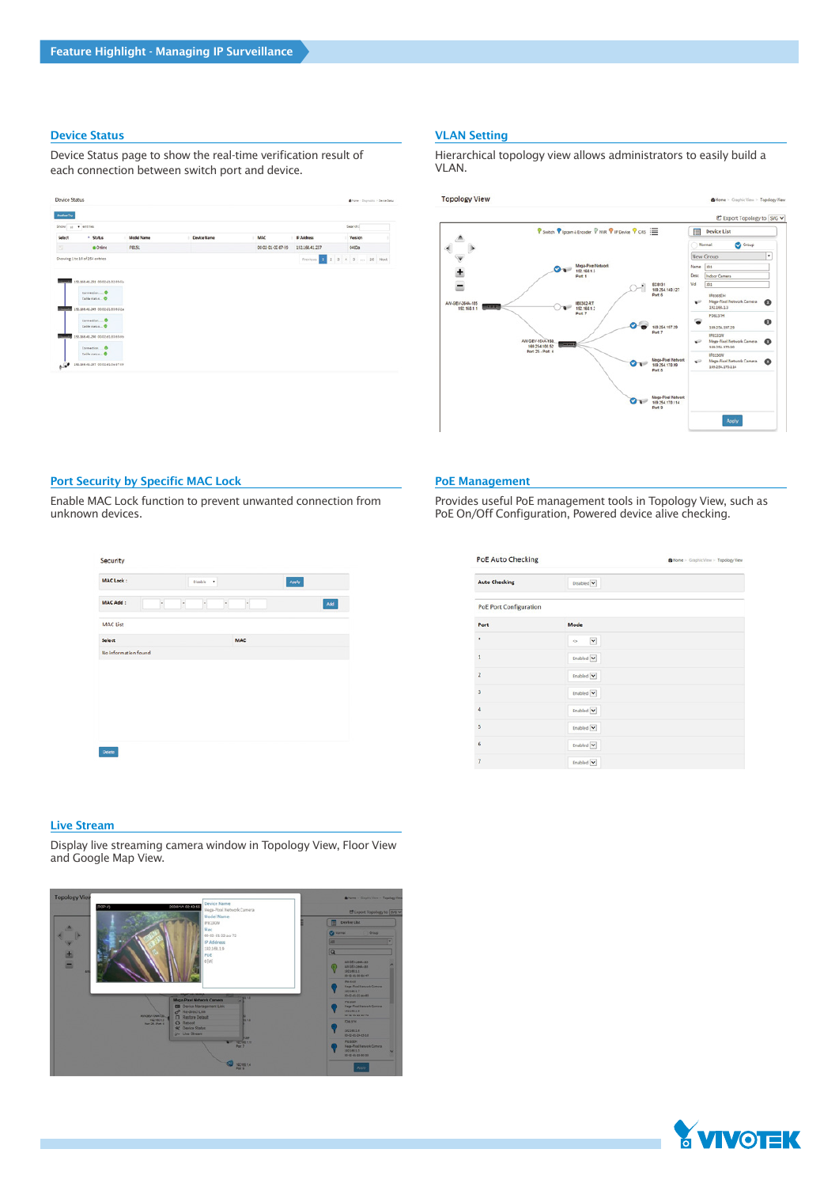#### Device Status

Device Status page to show the real-time verification result of each connection between switch port and device.

| Selact<br>e<br>Showing 1 to 10 of 254 entries | * Status<br>· Online                               | <b>Model Name</b><br><b>PB151</b> | <b>Device Name</b> | <b>MAC</b><br>٠   | P Address          | Version                      |  |
|-----------------------------------------------|----------------------------------------------------|-----------------------------------|--------------------|-------------------|--------------------|------------------------------|--|
|                                               |                                                    |                                   |                    |                   |                    |                              |  |
|                                               |                                                    |                                   |                    | 00 02 01 02 87-55 | 192.168.41.237     | 0400a                        |  |
|                                               |                                                    |                                   |                    |                   | Previous <b>19</b> | $2$ $3$ $4$ $5$ $$ $20$ Next |  |
|                                               | 45-140-240-000 095-394-525                         |                                   |                    |                   |                    |                              |  |
|                                               |                                                    |                                   |                    |                   |                    |                              |  |
|                                               |                                                    |                                   |                    |                   |                    |                              |  |
|                                               | Cable status O<br>193.568.41.250 03:03:41.03.93.0a |                                   |                    |                   |                    |                              |  |

### VLAN Setting

Hierarchical topology view allows administrators to easily build a VLAN.



### Port Security by Specific MAC Lock

Enable MAC Lock function to prevent unwanted connection from unknown devices.

| MAC Add:<br><b>MAC List</b> | $\overline{\phantom{a}}$<br>$\overline{\phantom{a}}$ | ٠ |                          |     |
|-----------------------------|------------------------------------------------------|---|--------------------------|-----|
|                             |                                                      |   | $\overline{\phantom{a}}$ | Add |
|                             |                                                      |   |                          |     |
| Select                      |                                                      |   | <b>MAC</b>               |     |
| No information found        |                                                      |   |                          |     |

#### Live Stream

Display live streaming camera window in Topology View, Floor View and Google Map View.



#### PoE Management

Provides useful PoE management tools in Topology View, such as PoE On/Off Configuration, Powered device alive checking.

| <b>PoE Auto Checking</b>      |                       | Home > Graphic View > Topology View |
|-------------------------------|-----------------------|-------------------------------------|
| <b>Auto Checking</b>          | Disabled V            |                                     |
| <b>PoE Port Configuration</b> |                       |                                     |
| Port                          | Mode                  |                                     |
| ٠                             | $\check{}$<br>$\circ$ |                                     |
| 1                             | Enabled V             |                                     |
| $\overline{2}$                | Enabled V             |                                     |
| 3                             | Enabled V             |                                     |
| 4                             | Enabled V             |                                     |
| 5                             | Enabled V             |                                     |
| 6                             | Enabled V             |                                     |
| $\overline{7}$                | Enabled V             |                                     |

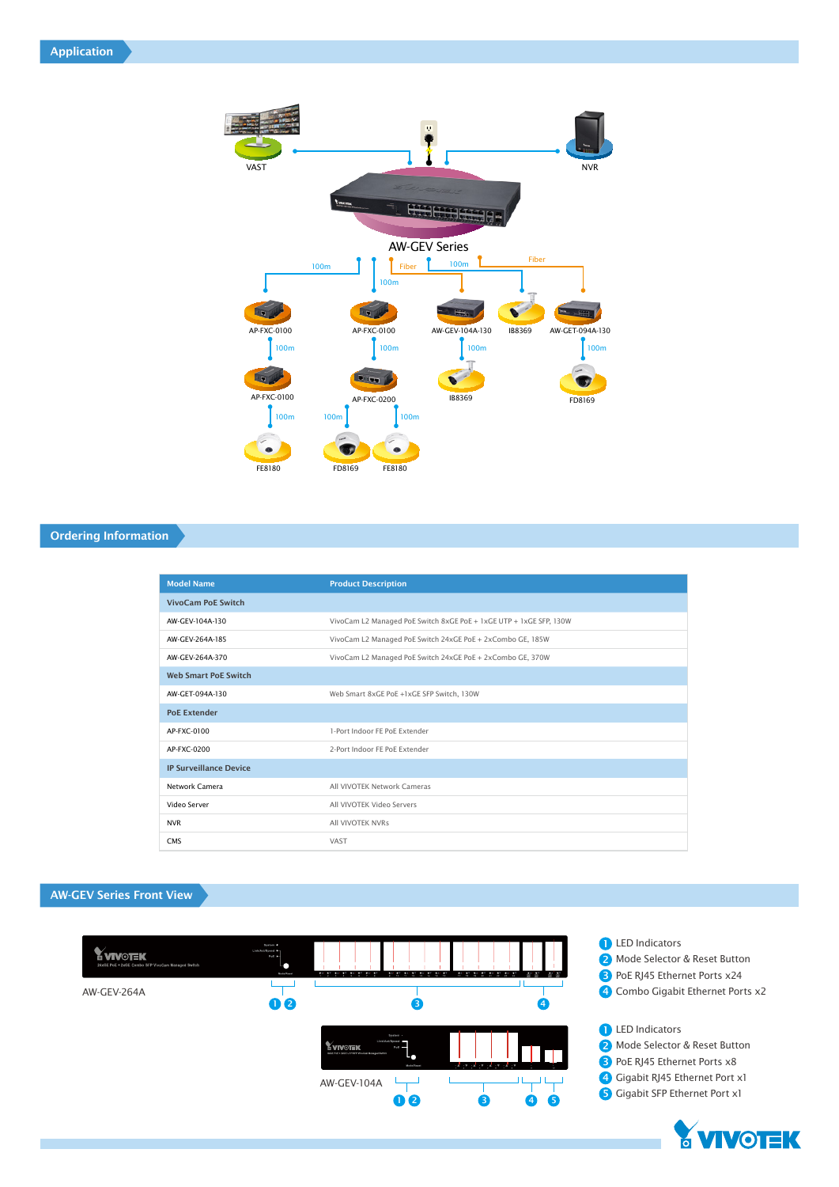Application



# Ordering Information

| <b>Model Name</b>             | <b>Product Description</b>                                         |
|-------------------------------|--------------------------------------------------------------------|
| <b>VivoCam PoE Switch</b>     |                                                                    |
| AW-GFV-104A-130               | VivoCam L2 Managed PoE Switch 8xGE PoE + 1xGE UTP + 1xGE SFP, 130W |
| AW-GFV-264A-185               | VivoCam L2 Managed PoE Switch 24xGE PoE + 2xCombo GE, 185W         |
| AW-GFV-264A-370               | VivoCam L2 Managed PoE Switch 24xGE PoE + 2xCombo GE, 370W         |
| <b>Web Smart PoE Switch</b>   |                                                                    |
| AW-GET-094A-130               | Web Smart 8xGE PoE +1xGE SFP Switch, 130W                          |
| <b>PoE Extender</b>           |                                                                    |
| AP-FXC-0100                   | 1-Port Indoor FF PoF Extender                                      |
| AP-FXC-0200                   | 2-Port Indoor FF PoF Extender                                      |
| <b>IP Surveillance Device</b> |                                                                    |
| Network Camera                | All VIVOTEK Network Cameras                                        |
| Video Server                  | All VIVOTEK Video Servers                                          |
| <b>NVR</b>                    | All VIVOTEK NVRs                                                   |
| CMS                           | VAST                                                               |

# AW-GEV Series Front View



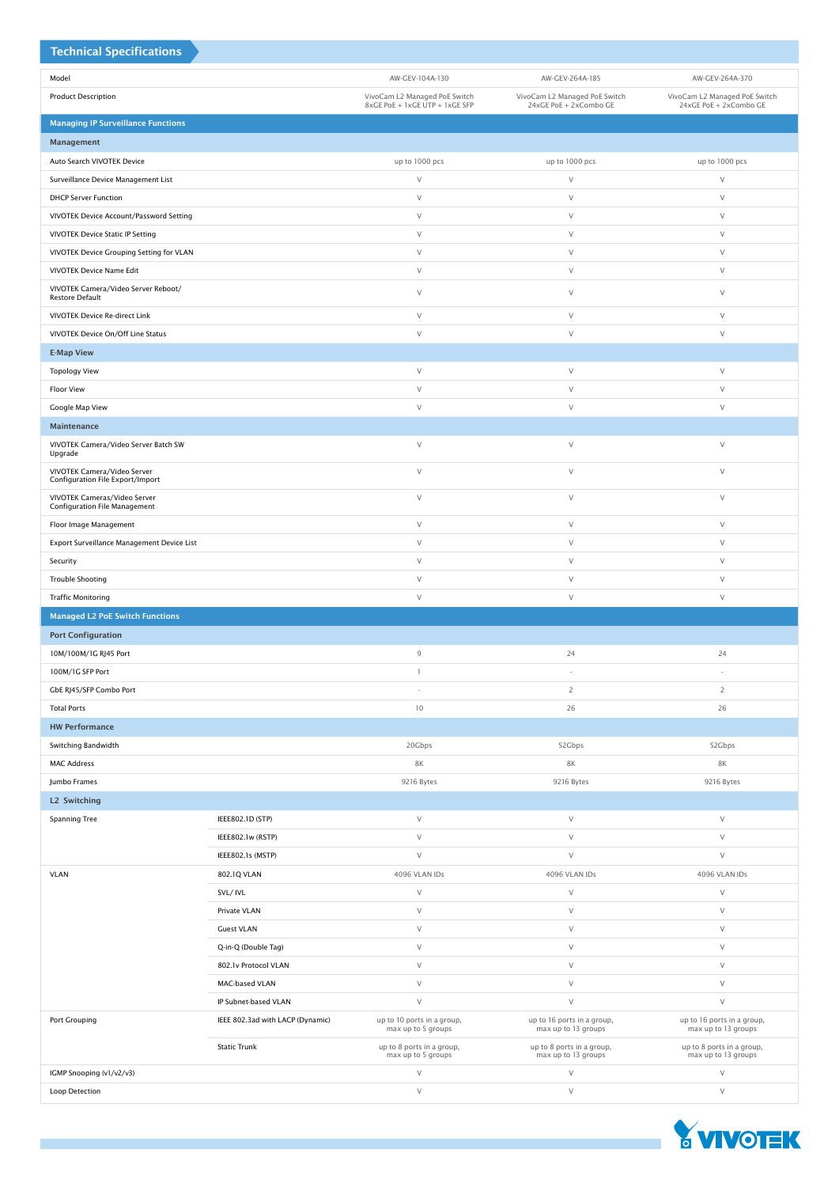| <b>Technical Specifications</b>                                      |                                  |                                                                 |                                                         |                                                         |
|----------------------------------------------------------------------|----------------------------------|-----------------------------------------------------------------|---------------------------------------------------------|---------------------------------------------------------|
| Model                                                                |                                  | AW-GEV-104A-130                                                 | AW-GEV-264A-185                                         | AW-GEV-264A-370                                         |
| <b>Product Description</b>                                           |                                  | VivoCam L2 Managed PoE Switch<br>8xGE PoE + 1xGE UTP + 1xGE SFP | VivoCam L2 Managed PoE Switch<br>24xGE PoE + 2xCombo GE | VivoCam L2 Managed PoE Switch<br>24xGE PoE + 2xCombo GE |
| <b>Managing IP Surveillance Functions</b>                            |                                  |                                                                 |                                                         |                                                         |
| Management                                                           |                                  |                                                                 |                                                         |                                                         |
| Auto Search VIVOTEK Device                                           |                                  | up to 1000 pcs                                                  | up to 1000 pcs                                          | up to 1000 pcs                                          |
| Surveillance Device Management List                                  |                                  | $\vee$                                                          | $\vee$                                                  | $\vee$                                                  |
| <b>DHCP Server Function</b>                                          |                                  | $\vee$                                                          | $\vee$                                                  | $\vee$                                                  |
| VIVOTEK Device Account/Password Setting                              |                                  | $\vee$                                                          | $\vee$                                                  | $\vee$                                                  |
| <b>VIVOTEK Device Static IP Setting</b>                              |                                  | $\vee$                                                          | $\vee$                                                  | $\vee$                                                  |
| VIVOTEK Device Grouping Setting for VLAN                             |                                  | $\vee$                                                          | $\vee$                                                  | $\vee$                                                  |
| VIVOTEK Device Name Edit                                             |                                  | $\vee$                                                          | $\vee$                                                  | $\vee$                                                  |
| VIVOTEK Camera/Video Server Reboot/<br>Restore Default               |                                  | $\vee$                                                          | $\vee$                                                  | $\vee$                                                  |
| VIVOTEK Device Re-direct Link                                        |                                  | $\vee$                                                          | $\vee$                                                  | $\vee$                                                  |
| VIVOTEK Device On/Off Line Status                                    |                                  | $\vee$                                                          | $\vee$                                                  | $\vee$                                                  |
| <b>E-Map View</b>                                                    |                                  |                                                                 |                                                         |                                                         |
| <b>Topology View</b>                                                 |                                  | $\vee$                                                          | $\vee$                                                  | $\vee$                                                  |
| <b>Floor View</b>                                                    |                                  | $\vee$                                                          | $\vee$                                                  | $\vee$                                                  |
| Google Map View                                                      |                                  | $\vee$                                                          | $\vee$                                                  | $\vee$                                                  |
| <b>Maintenance</b>                                                   |                                  |                                                                 |                                                         |                                                         |
| VIVOTEK Camera/Video Server Batch SW<br>Upgrade                      |                                  | $\vee$                                                          | $\vee$                                                  | $\vee$                                                  |
| VIVOTEK Camera/Video Server<br>Configuration File Export/Import      |                                  | $\vee$                                                          | $\vee$                                                  | $\vee$                                                  |
| VIVOTEK Cameras/Video Server<br><b>Configuration File Management</b> |                                  | $\vee$                                                          | $\vee$                                                  | $\vee$                                                  |
| Floor Image Management                                               |                                  | $\vee$                                                          | $\vee$                                                  | $\vee$                                                  |
| Export Surveillance Management Device List                           |                                  | $\vee$                                                          | $\vee$                                                  | $\vee$                                                  |
| Security                                                             |                                  | $\vee$                                                          | $\vee$                                                  | $\vee$                                                  |
| <b>Trouble Shooting</b>                                              |                                  | $\vee$                                                          | $\vee$                                                  | $\vee$                                                  |
| <b>Traffic Monitoring</b>                                            |                                  | $\vee$                                                          | $\vee$                                                  | $\vee$                                                  |
| <b>Managed L2 PoE Switch Functions</b>                               |                                  |                                                                 |                                                         |                                                         |
| <b>Port Configuration</b>                                            |                                  |                                                                 |                                                         |                                                         |
| 10M/100M/1G RJ45 Port                                                |                                  | $\mathsf 9$                                                     | 24                                                      | 24                                                      |
| 100M/1G SFP Port                                                     |                                  | 1                                                               |                                                         |                                                         |
| GbE RJ45/SFP Combo Port                                              |                                  | ×                                                               | $\overline{2}$                                          | $\overline{2}$                                          |
| <b>Total Ports</b>                                                   |                                  | 10                                                              | 26                                                      | 26                                                      |
| <b>HW Performance</b>                                                |                                  |                                                                 |                                                         |                                                         |
| Switching Bandwidth                                                  |                                  | 20Gbps                                                          | 52Gbps                                                  | 52Gbps                                                  |
| <b>MAC Address</b>                                                   |                                  | $8\mathrm{K}$                                                   | <b>8K</b>                                               | <b>8K</b>                                               |
| Jumbo Frames                                                         |                                  | 9216 Bytes                                                      | 9216 Bytes                                              | 9216 Bytes                                              |
| L2 Switching                                                         |                                  |                                                                 |                                                         |                                                         |
| <b>Spanning Tree</b>                                                 | IEEE802.1D (STP)                 | $\vee$                                                          | $\vee$                                                  | $\vee$                                                  |
|                                                                      | IEEE802.1w (RSTP)                | $\vee$                                                          | $\vee$                                                  | $\vee$                                                  |
|                                                                      | IEEE802.1s (MSTP)                | $\vee$                                                          | $\vee$                                                  | $\vee$                                                  |
| <b>VLAN</b>                                                          | 802.1Q VLAN                      | 4096 VLAN IDs<br>$\vee$                                         | 4096 VLAN IDs<br>$\vee$                                 | 4096 VLAN IDs<br>$\vee$                                 |
|                                                                      | SVL/IVL<br>Private VLAN          | $\vee$                                                          | $\vee$                                                  | $\vee$                                                  |
|                                                                      | <b>Guest VLAN</b>                | $\vee$                                                          | $\vee$                                                  | $\vee$                                                  |
|                                                                      | Q-in-Q (Double Tag)              | $\vee$                                                          | $\vee$                                                  | $\vee$                                                  |
|                                                                      | 802.1v Protocol VLAN             | $\vee$                                                          | $\vee$                                                  | $\vee$                                                  |
|                                                                      | MAC-based VLAN                   | $\vee$                                                          | $\vee$                                                  | $\vee$                                                  |
|                                                                      | IP Subnet-based VLAN             | $\vee$                                                          | $\vee$                                                  | $\vee$                                                  |
| Port Grouping                                                        | IEEE 802.3ad with LACP (Dynamic) | up to 10 ports in a group,                                      | up to 16 ports in a group,                              | up to 16 ports in a group,                              |
|                                                                      |                                  | max up to 5 groups                                              | max up to 13 groups                                     | max up to 13 groups                                     |
|                                                                      | <b>Static Trunk</b>              | up to 8 ports in a group,<br>max up to 5 groups                 | up to 8 ports in a group,<br>max up to 13 groups        | up to 8 ports in a group,<br>max up to 13 groups        |
| IGMP Snooping (v1/v2/v3)                                             |                                  | $\vee$                                                          | $\vee$                                                  | $\vee$                                                  |
| Loop Detection                                                       |                                  | $\vee$                                                          | $\vee$                                                  | $\vee$                                                  |

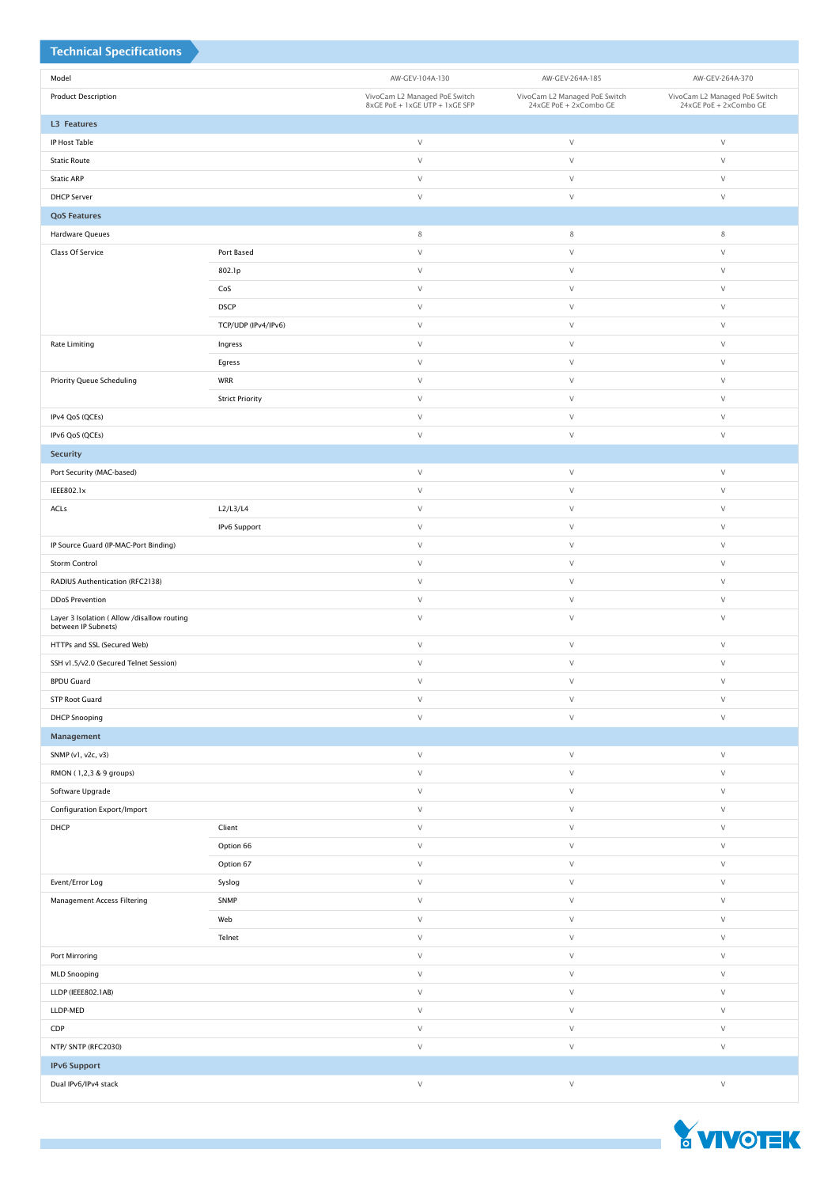| <b>Technical Specifications</b>                                    |                        |                                |                               |                               |
|--------------------------------------------------------------------|------------------------|--------------------------------|-------------------------------|-------------------------------|
| Model                                                              |                        | AW-GEV-104A-130                | AW-GEV-264A-185               | AW-GEV-264A-370               |
| <b>Product Description</b>                                         |                        | VivoCam L2 Managed PoE Switch  | VivoCam L2 Managed PoE Switch | VivoCam L2 Managed PoE Switch |
|                                                                    |                        | 8xGE PoE + 1xGE UTP + 1xGE SFP | 24xGE PoE + 2xCombo GE        | 24xGE PoE + 2xCombo GE        |
| <b>L3 Features</b>                                                 |                        | $\vee$                         | $\vee$                        | $\vee$                        |
| IP Host Table<br><b>Static Route</b>                               |                        | $\vee$                         | $\vee$                        | $\vee$                        |
| <b>Static ARP</b>                                                  |                        | $\vee$                         | $\vee$                        | $\vee$                        |
| <b>DHCP Server</b>                                                 |                        | $\vee$                         | $\vee$                        | $\vee$                        |
| <b>QoS Features</b>                                                |                        |                                |                               |                               |
| <b>Hardware Queues</b>                                             |                        | 8                              | 8                             | $\,$ 8 $\,$                   |
| Class Of Service                                                   | Port Based             | $\vee$                         | $\vee$                        | $\vee$                        |
|                                                                    | 802.1p                 | $\vee$                         | $\vee$                        | $\vee$                        |
|                                                                    | CoS                    | $\vee$                         | $\vee$                        | $\vee$                        |
|                                                                    | <b>DSCP</b>            | $\vee$                         | $\vee$                        | $\vee$                        |
|                                                                    | TCP/UDP (IPv4/IPv6)    | $\vee$                         | $\vee$                        | $\vee$                        |
| <b>Rate Limiting</b>                                               | Ingress                | $\vee$                         | $\vee$                        | $\vee$                        |
|                                                                    | Egress                 | $\vee$                         | $\vee$                        | $\vee$                        |
| <b>Priority Queue Scheduling</b>                                   | WRR                    | $\vee$                         | $\vee$                        | $\vee$                        |
|                                                                    | <b>Strict Priority</b> | $\vee$                         | $\vee$                        | $\vee$                        |
| IPv4 QoS (QCEs)                                                    |                        | $\vee$                         | $\vee$                        | $\vee$                        |
| IPv6 QoS (QCEs)                                                    |                        | $\vee$                         | $\vee$                        | $\vee$                        |
| <b>Security</b>                                                    |                        |                                |                               |                               |
| Port Security (MAC-based)                                          |                        | $\vee$                         | $\vee$                        | $\vee$                        |
| IEEE802.1x                                                         |                        | $\vee$                         | $\vee$                        | $\vee$                        |
| ACLs                                                               | L2/L3/L4               | $\vee$                         | $\vee$                        | $\vee$                        |
|                                                                    | IPv6 Support           | $\vee$                         | $\vee$                        | $\vee$                        |
| IP Source Guard (IP-MAC-Port Binding)                              |                        | $\vee$                         | $\vee$                        | $\vee$                        |
| Storm Control                                                      |                        | $\vee$                         | $\vee$                        | $\vee$                        |
| RADIUS Authentication (RFC2138)                                    |                        | $\vee$                         | $\vee$                        | $\vee$                        |
| <b>DDoS Prevention</b>                                             |                        | $\vee$                         | $\vee$                        | $\vee$                        |
| Layer 3 Isolation ( Allow /disallow routing<br>between IP Subnets) |                        | $\vee$                         | $\vee$                        | $\vee$                        |
| HTTPs and SSL (Secured Web)                                        |                        | $\vee$                         | $\vee$                        | $\vee$                        |
| SSH v1.5/v2.0 (Secured Telnet Session)                             |                        | $\vee$                         | $\vee$                        | $\vee$                        |
| <b>BPDU Guard</b>                                                  |                        | $\vee$                         | $\vee$                        | V                             |
| <b>STP Root Guard</b>                                              |                        | $\vee$                         | $\vee$                        | $\vee$                        |
| <b>DHCP Snooping</b>                                               |                        | $\vee$                         | $\vee$                        | $\vee$                        |
| Management                                                         |                        |                                |                               |                               |
| SNMP (v1, v2c, v3)                                                 |                        | $\vee$                         | $\vee$                        | $\vee$                        |
| RMON (1,2,3 & 9 groups)                                            |                        | $\vee$                         | $\vee$                        | $\vee$                        |
| Software Upgrade                                                   |                        | $\vee$                         | $\vee$                        | $\vee$                        |
| Configuration Export/Import                                        |                        | $\vee$                         | $\vee$                        | $\vee$                        |
| DHCP                                                               | Client                 | $\vee$                         | $\vee$                        | $\vee$                        |
|                                                                    | Option 66              | $\vee$                         | $\vee$                        | V                             |
|                                                                    | Option 67              | $\vee$                         | $\vee$                        | $\vee$                        |
| Event/Error Log                                                    | Syslog                 | $\vee$                         | $\vee$                        | $\vee$                        |
| <b>Management Access Filtering</b>                                 | SNMP                   | $\vee$                         | $\vee$                        | $\vee$                        |
|                                                                    | Web                    | $\vee$                         | $\vee$                        | $\vee$                        |
| Port Mirroring                                                     | Telnet                 | $\vee$<br>$\vee$               | $\vee$<br>$\vee$              | $\vee$<br>$\vee$              |
| <b>MLD Snooping</b>                                                |                        | $\vee$                         | $\vee$                        | $\vee$                        |
| LLDP (IEEE802.1AB)                                                 |                        | $\vee$                         | $\vee$                        | V                             |
| LLDP-MED                                                           |                        | $\vee$                         | $\vee$                        | $\vee$                        |
| CDP                                                                |                        | $\vee$                         | $\vee$                        | $\vee$                        |
| NTP/ SNTP (RFC2030)                                                |                        | $\vee$                         | $\vee$                        | $\vee$                        |
| <b>IPv6 Support</b>                                                |                        |                                |                               |                               |
| Dual IPv6/IPv4 stack                                               |                        | $\vee$                         | $\vee$                        | V                             |